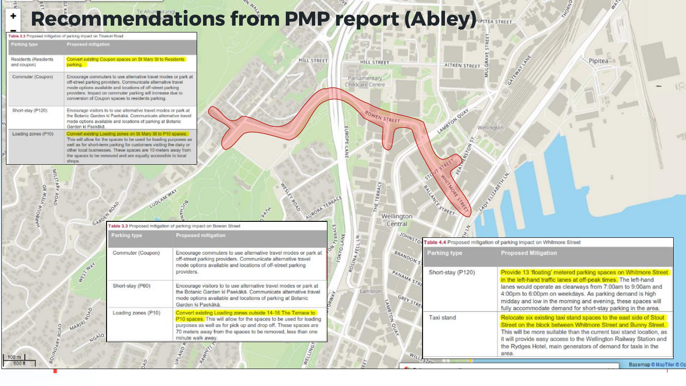## **Recommendations from PMP report (Abley)**

흧  $\ddot{}$ 

| Table 2.3 Proposed mitigation of parking impact on Tinakori Road. |                                           |                                                                                                                                                                                                                                                                                                                                        |                                                                                                                                                                                                                                                                                        |                                                                                                                                                                               |                                   |                                                                                                                                                                                                                                                                                                                                                                                                                                                                                                                                                                                                                                                                                                             |                                                                                         |  |  |
|-------------------------------------------------------------------|-------------------------------------------|----------------------------------------------------------------------------------------------------------------------------------------------------------------------------------------------------------------------------------------------------------------------------------------------------------------------------------------|----------------------------------------------------------------------------------------------------------------------------------------------------------------------------------------------------------------------------------------------------------------------------------------|-------------------------------------------------------------------------------------------------------------------------------------------------------------------------------|-----------------------------------|-------------------------------------------------------------------------------------------------------------------------------------------------------------------------------------------------------------------------------------------------------------------------------------------------------------------------------------------------------------------------------------------------------------------------------------------------------------------------------------------------------------------------------------------------------------------------------------------------------------------------------------------------------------------------------------------------------------|-----------------------------------------------------------------------------------------|--|--|
| Parking type                                                      | Proposed mitigation                       |                                                                                                                                                                                                                                                                                                                                        |                                                                                                                                                                                                                                                                                        |                                                                                                                                                                               |                                   |                                                                                                                                                                                                                                                                                                                                                                                                                                                                                                                                                                                                                                                                                                             |                                                                                         |  |  |
| Residents (Residents<br>and coupon).                              | parking.                                  | Convert existing Coupon spaces on St Mary St to Residents                                                                                                                                                                                                                                                                              | HILL STREET                                                                                                                                                                                                                                                                            | <b>HILL STREET</b>                                                                                                                                                            | GK<br>AITKEN STREET.              | Garden H. Walk                                                                                                                                                                                                                                                                                                                                                                                                                                                                                                                                                                                                                                                                                              | Pipitea                                                                                 |  |  |
| Commuter (Coupon)                                                 |                                           | Encourage commuters to use alternative travel modes or park at<br>off-street parking providers. Communicate alternative travel<br>mode options available and locations of off-street parking<br>providers. Impact on commuter parking will increase due to<br>conversion of Coupon spaces to residents parking.                        |                                                                                                                                                                                                                                                                                        | Parliamentary<br>Childcare Centre                                                                                                                                             |                                   |                                                                                                                                                                                                                                                                                                                                                                                                                                                                                                                                                                                                                                                                                                             |                                                                                         |  |  |
| Short-stay (P120)                                                 | Garden ki Paekākā.                        | Encourage visitors to to use alternative travel modes or park at<br>the Botanic Garden ki Paekaka. Communicate alternative travel<br>mode options available and locations of parking at Botanic                                                                                                                                        |                                                                                                                                                                                                                                                                                        | BOWEN STREET                                                                                                                                                                  | LAMBTON QUAY<br>Wellington        |                                                                                                                                                                                                                                                                                                                                                                                                                                                                                                                                                                                                                                                                                                             |                                                                                         |  |  |
| Loading zones (P10)                                               | shops.                                    | Convert existing Loading zones on St Mary St to P10 spaces.<br>This will allow for the spaces to be used for loading purposes as<br>well as for short-term parking for customers visiting the dairy or<br>other local businesses. These spaces are 10 meters away from<br>the spaces to be removed and are equally accessible to local |                                                                                                                                                                                                                                                                                        |                                                                                                                                                                               | STREET                            |                                                                                                                                                                                                                                                                                                                                                                                                                                                                                                                                                                                                                                                                                                             |                                                                                         |  |  |
| ITTIM<br>ABA<br>1800 <sup>k</sup> VIEW RD-<br><b>ROAD</b>         | GARDEN ROAD                               | LUDLAM WAY<br>Parking type                                                                                                                                                                                                                                                                                                             | BOA<br>AURORA<br>Table 3.3 Proposed mitigation of parking impact on Bowen Street<br>Proposed mitigation                                                                                                                                                                                | ACE<br>TER<br>HE<br>Wellington<br>Central<br>ZERRAC<br>ROSINA FELL LN.<br>÷,<br><b>TOKYO</b><br>BRANDON S<br>PANAMA STR<br>Lambton<br><b>RWAY</b><br>GREY STRE<br>LAMBTON QUE | SALLANCE STREET                   | LAON CLUMBERT<br>JOHNSTON Table 4.4 Proposed mitigation of parking impact on Whitmore Street                                                                                                                                                                                                                                                                                                                                                                                                                                                                                                                                                                                                                |                                                                                         |  |  |
|                                                                   | WASH WAY<br>MARIRI <sup>DO</sup><br>NGAIO | Commuter (Coupon)                                                                                                                                                                                                                                                                                                                      | Encourage commuters to use alternative travel modes or park at<br>off-street parking providers. Communicate alternative travel<br>mode options available and locations of off-street parking<br>providers.                                                                             |                                                                                                                                                                               | Parking type<br>Short-stay (P120) | <b>Proposed Mitigation</b><br>Provide 13 'floating' metered parking spaces on Whitmore Street<br>in the left-hand traffic lanes at off-peak times. The left-hand<br>lanes would operate as clearways from 7:00am to 9:00am and<br>4:00pm to 6:00pm on weekdays. As parking demand is high<br>midday and low in the morning and evening, these spaces will<br>fully accommodate demand for short-stay parking in the area.<br>Relocate six existing taxi stand spaces to the east side of Stout<br>Street on the block between Whitmore Street and Bunny Street.<br>This will be more suitable than the current taxi stand location, as<br>it will provide easy access to the Wellington Railway Station and |                                                                                         |  |  |
|                                                                   |                                           | Short-stay (P60)                                                                                                                                                                                                                                                                                                                       | Encourage visitors to to use alternative travel modes or park at<br>the Botanic Garden ki Paekākā. Communicate alternative travel<br>mode options available and locations of parking at Botanic<br>Garden ki Paekākā.                                                                  |                                                                                                                                                                               |                                   |                                                                                                                                                                                                                                                                                                                                                                                                                                                                                                                                                                                                                                                                                                             |                                                                                         |  |  |
|                                                                   |                                           | Loading zones (P10)                                                                                                                                                                                                                                                                                                                    | Convert existing Loading zones outside 14-16 The Terrace to<br>P10 spaces. This will allow for the spaces to be used for loading<br>purposes as well as for pick up and drop off. These spaces are<br>70 meters away from the spaces to be removed, less than one<br>minute walk away. |                                                                                                                                                                               | Taxi stand                        |                                                                                                                                                                                                                                                                                                                                                                                                                                                                                                                                                                                                                                                                                                             |                                                                                         |  |  |
| <b>BOUNDARY ROAD</b><br>$100 \text{ m}$<br>500 ft                 |                                           |                                                                                                                                                                                                                                                                                                                                        | WELLING<br>PAWHY!<br>AND<br><sub>S</sub>                                                                                                                                                                                                                                               | WILLESTON                                                                                                                                                                     |                                   | area.                                                                                                                                                                                                                                                                                                                                                                                                                                                                                                                                                                                                                                                                                                       | the Rydges Hotel, main generators of demand for taxis in the<br>Basemap © MapTiler © Op |  |  |

**HORNID** 

 $\mathcal{A}_{\mathcal{F}_{\mathcal{F}_{\mathcal{F}}}}$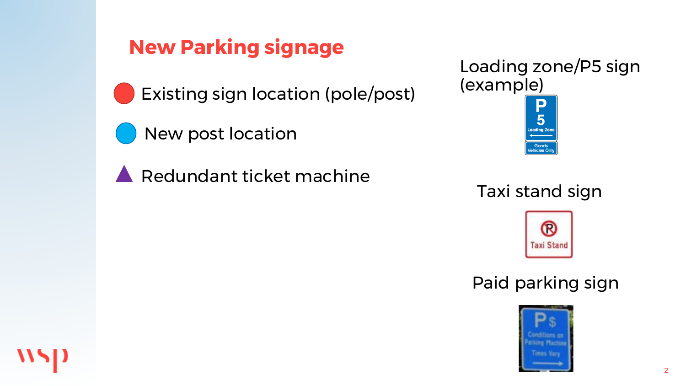## **New Parking signage**



Existing sign location (pole/post)



Redundant ticket machine



## Taxi stand sign

Goods ehicles On



## Paid parking sign



2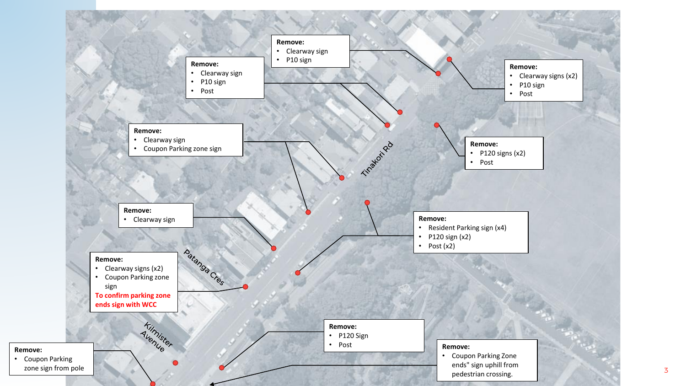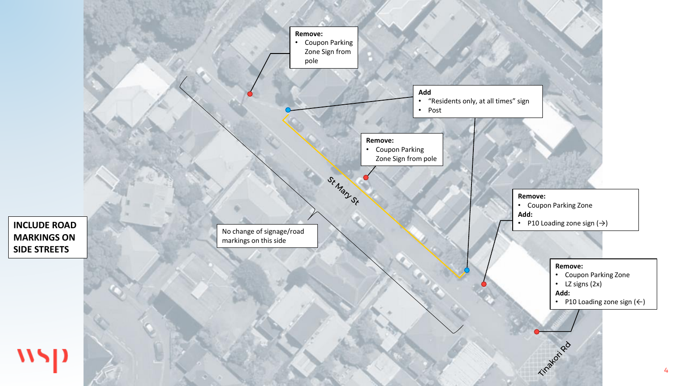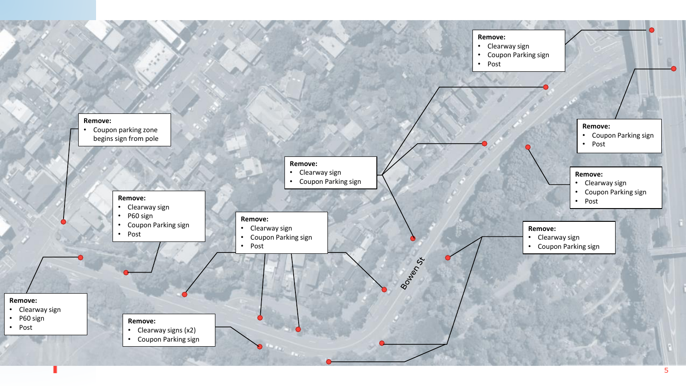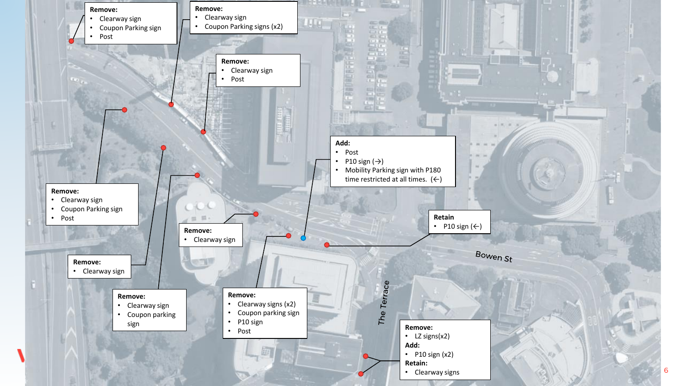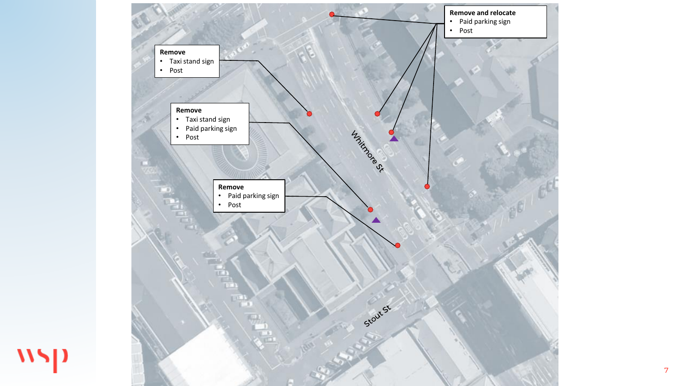

wsp

7